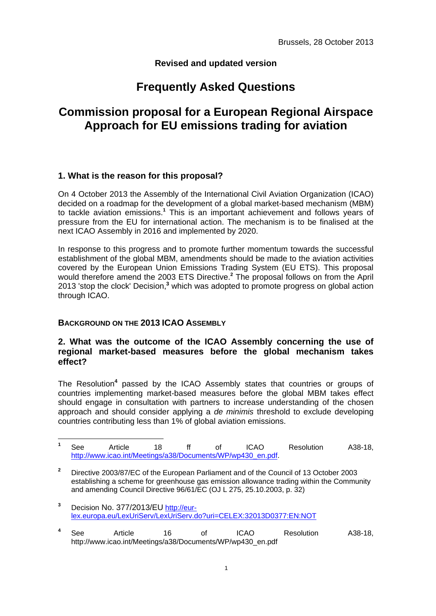## **Revised and updated version**

# **Frequently Asked Questions**

# **Commission proposal for a European Regional Airspace Approach for EU emissions trading for aviation**

## **1. What is the reason for this proposal?**

On 4 October 2013 the Assembly of the International Civil Aviation Organization (ICAO) decided on a roadmap for the development of a global market-based mechanism (MBM) to tackle aviation emissions.**<sup>1</sup>** This is an important achievement and follows years of pressure from the EU for international action. The mechanism is to be finalised at the next ICAO Assembly in 2016 and implemented by 2020.

In response to this progress and to promote further momentum towards the successful establishment of the global MBM, amendments should be made to the aviation activities covered by the European Union Emissions Trading System (EU ETS). This proposal would therefore amend the 2003 ETS Directive.**<sup>2</sup>** The proposal follows on from the April 2013 'stop the clock' Decision,**<sup>3</sup>** which was adopted to promote progress on global action through ICAO.

#### **BACKGROUND ON THE 2013 ICAO ASSEMBLY**

 $\overline{a}$ 

### **2. What was the outcome of the ICAO Assembly concerning the use of regional market-based measures before the global mechanism takes effect?**

The Resolution<sup>4</sup> passed by the ICAO Assembly states that countries or groups of countries implementing market-based measures before the global MBM takes effect should engage in consultation with partners to increase understanding of the chosen approach and should consider applying a *de minimis* threshold to exclude developing countries contributing less than 1% of global aviation emissions.

| <b>See</b> | Article                                                     |  | <b>ICAO</b> | Resolution | A38-18. |
|------------|-------------------------------------------------------------|--|-------------|------------|---------|
|            | http://www.icao.int/Meetings/a38/Documents/WP/wp430 en.pdf. |  |             |            |         |

**<sup>2</sup>** Directive 2003/87/EC of the European Parliament and of the Council of 13 October 2003 establishing a scheme for greenhouse gas emission allowance trading within the Community and amending Council Directive 96/61/EC (OJ L 275, 25.10.2003, p. 32)

**<sup>3</sup>** Decision No. 377/2013/EU [http://eur](http://eur-lex.europa.eu/LexUriServ/LexUriServ.do?uri=CELEX:32013D0377:EN:NOT)[lex.europa.eu/LexUriServ/LexUriServ.do?uri=CELEX:32013D0377:EN:NOT](http://eur-lex.europa.eu/LexUriServ/LexUriServ.do?uri=CELEX:32013D0377:EN:NOT) 

**<sup>4</sup>** See Article 16 of ICAO Resolution A38-18, http://www.icao.int/Meetings/a38/Documents/WP/wp430\_en.pdf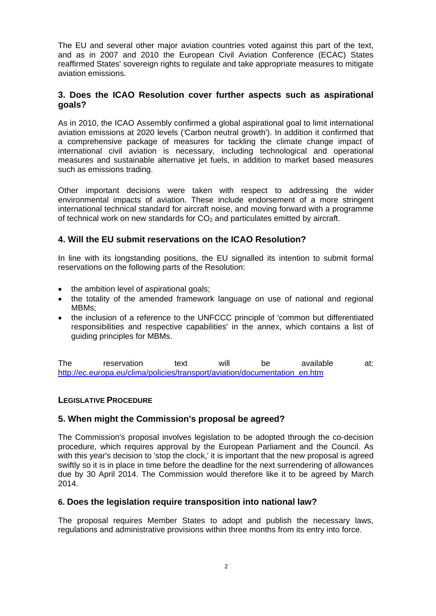The EU and several other major aviation countries voted against this part of the text, and as in 2007 and 2010 the European Civil Aviation Conference (ECAC) States reaffirmed States' sovereign rights to regulate and take appropriate measures to mitigate aviation emissions.

## **3. Does the ICAO Resolution cover further aspects such as aspirational goals?**

As in 2010, the ICAO Assembly confirmed a global aspirational goal to limit international aviation emissions at 2020 levels ('Carbon neutral growth'). In addition it confirmed that a comprehensive package of measures for tackling the climate change impact of international civil aviation is necessary, including technological and operational measures and sustainable alternative jet fuels, in addition to market based measures such as emissions trading.

Other important decisions were taken with respect to addressing the wider environmental impacts of aviation. These include endorsement of a more stringent international technical standard for aircraft noise, and moving forward with a programme of technical work on new standards for  $CO<sub>2</sub>$  and particulates emitted by aircraft.

### **4. Will the EU submit reservations on the ICAO Resolution?**

In line with its longstanding positions, the EU signalled its intention to submit formal reservations on the following parts of the Resolution:

- the ambition level of aspirational goals;
- the totality of the amended framework language on use of national and regional MBMs;
- the inclusion of a reference to the UNFCCC principle of 'common but differentiated responsibilities and respective capabilities' in the annex, which contains a list of guiding principles for MBMs.

The reservation text will be available at: http://ec.europa.eu/clima/policies/transport/aviation/documentation\_en.htm

#### **LEGISLATIVE PROCEDURE**

#### **5. When might the Commission's proposal be agreed?**

The Commission's proposal involves legislation to be adopted through the co-decision procedure, which requires approval by the European Parliament and the Council. As with this year's decision to 'stop the clock,' it is important that the new proposal is agreed swiftly so it is in place in time before the deadline for the next surrendering of allowances due by 30 April 2014. The Commission would therefore like it to be agreed by March 2014.

#### **6. Does the legislation require transposition into national law?**

The proposal requires Member States to adopt and publish the necessary laws, regulations and administrative provisions within three months from its entry into force.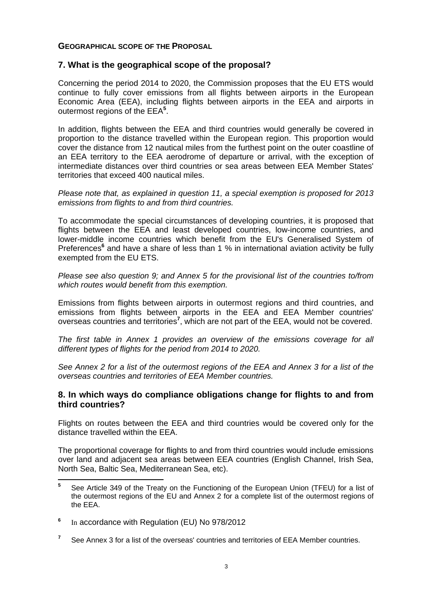#### **GEOGRAPHICAL SCOPE OF THE PROPOSAL**

#### **7. What is the geographical scope of the proposal?**

Concerning the period 2014 to 2020, the Commission proposes that the EU ETS would continue to fully cover emissions from all flights between airports in the European Economic Area (EEA), including flights between airports in the EEA and airports in outermost regions of the EEA**<sup>5</sup>** .

In addition, flights between the EEA and third countries would generally be covered in proportion to the distance travelled within the European region. This proportion would cover the distance from 12 nautical miles from the furthest point on the outer coastline of an EEA territory to the EEA aerodrome of departure or arrival, with the exception of intermediate distances over third countries or sea areas between EEA Member States' territories that exceed 400 nautical miles.

*Please note that, as explained in question 11, a special exemption is proposed for 2013 emissions from flights to and from third countries.* 

To accommodate the special circumstances of developing countries, it is proposed that flights between the EEA and least developed countries, low-income countries, and lower-middle income countries which benefit from the EU's Generalised System of Preferences<sup>6</sup> and have a share of less than 1 % in international aviation activity be fully exempted from the EU ETS.

*Please see also question 9; and Annex 5 for the provisional list of the countries to/from which routes would benefit from this exemption.* 

Emissions from flights between airports in outermost regions and third countries, and emissions from flights between airports in the EEA and EEA Member countries' overseas countries and territories**<sup>7</sup>** , which are not part of the EEA, would not be covered.

*The first table in Annex 1 provides an overview of the emissions coverage for all different types of flights for the period from 2014 to 2020.* 

*See Annex 2 for a list of the outermost regions of the EEA and Annex 3 for a list of the overseas countries and territories of EEA Member countries.* 

#### **8. In which ways do compliance obligations change for flights to and from third countries?**

Flights on routes between the EEA and third countries would be covered only for the distance travelled within the EEA.

The proportional coverage for flights to and from third countries would include emissions over land and adjacent sea areas between EEA countries (English Channel, Irish Sea, North Sea, Baltic Sea, Mediterranean Sea, etc).

 **5** See Article 349 of the Treaty on the Functioning of the European Union (TFEU) for a list of the outermost regions of the EU and Annex 2 for a complete list of the outermost regions of the EEA.

**<sup>6</sup>** In accordance with Regulation (EU) No 978/2012

**<sup>7</sup>** See Annex 3 for a list of the overseas' countries and territories of EEA Member countries.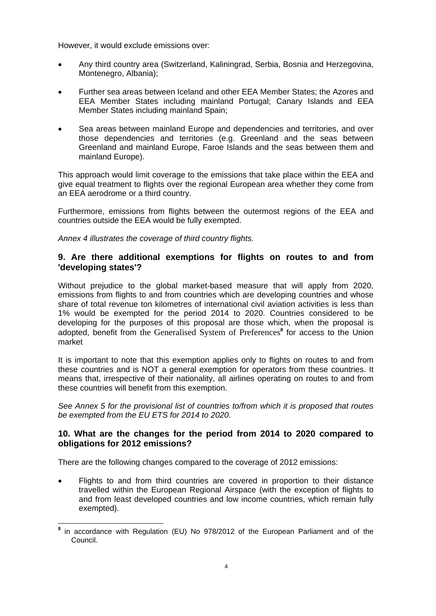However, it would exclude emissions over:

- Any third country area (Switzerland, Kaliningrad, Serbia, Bosnia and Herzegovina, Montenegro, Albania);
- Further sea areas between Iceland and other EEA Member States; the Azores and EEA Member States including mainland Portugal; Canary Islands and EEA Member States including mainland Spain;
- Sea areas between mainland Europe and dependencies and territories, and over those dependencies and territories (e.g. Greenland and the seas between Greenland and mainland Europe, Faroe Islands and the seas between them and mainland Europe).

This approach would limit coverage to the emissions that take place within the EEA and give equal treatment to flights over the regional European area whether they come from an EEA aerodrome or a third country.

Furthermore, emissions from flights between the outermost regions of the EEA and countries outside the EEA would be fully exempted.

*Annex 4 illustrates the coverage of third country flights.* 

### **9. Are there additional exemptions for flights on routes to and from 'developing states'?**

Without prejudice to the global market-based measure that will apply from 2020, emissions from flights to and from countries which are developing countries and whose share of total revenue ton kilometres of international civil aviation activities is less than 1% would be exempted for the period 2014 to 2020. Countries considered to be developing for the purposes of this proposal are those which, when the proposal is adopted, benefit from the Generalised System of Preferences**<sup>8</sup>** for access to the Union market

It is important to note that this exemption applies only to flights on routes to and from these countries and is NOT a general exemption for operators from these countries. It means that, irrespective of their nationality, all airlines operating on routes to and from these countries will benefit from this exemption.

*See Annex 5 for the provisional list of countries to/from which it is proposed that routes be exempted from the EU ETS for 2014 to 2020.* 

### **10. What are the changes for the period from 2014 to 2020 compared to obligations for 2012 emissions?**

There are the following changes compared to the coverage of 2012 emissions:

• Flights to and from third countries are covered in proportion to their distance travelled within the European Regional Airspace (with the exception of flights to and from least developed countries and low income countries, which remain fully exempted).

 $\overline{a}$ **<sup>8</sup>** in accordance with Regulation (EU) No 978/2012 of the European Parliament and of the Council.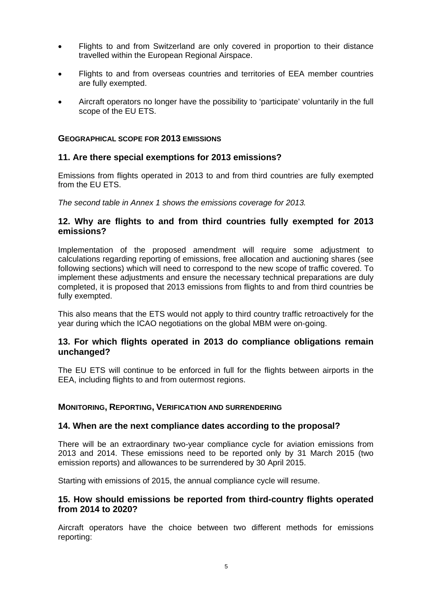- Flights to and from Switzerland are only covered in proportion to their distance travelled within the European Regional Airspace.
- Flights to and from overseas countries and territories of EEA member countries are fully exempted.
- Aircraft operators no longer have the possibility to 'participate' voluntarily in the full scope of the EU ETS.

#### **GEOGRAPHICAL SCOPE FOR 2013 EMISSIONS**

#### **11. Are there special exemptions for 2013 emissions?**

Emissions from flights operated in 2013 to and from third countries are fully exempted from the EU ETS.

*The second table in Annex 1 shows the emissions coverage for 2013.*

#### **12. Why are flights to and from third countries fully exempted for 2013 emissions?**

Implementation of the proposed amendment will require some adjustment to calculations regarding reporting of emissions, free allocation and auctioning shares (see following sections) which will need to correspond to the new scope of traffic covered. To implement these adjustments and ensure the necessary technical preparations are duly completed, it is proposed that 2013 emissions from flights to and from third countries be fully exempted.

This also means that the ETS would not apply to third country traffic retroactively for the year during which the ICAO negotiations on the global MBM were on-going.

#### **13. For which flights operated in 2013 do compliance obligations remain unchanged?**

The EU ETS will continue to be enforced in full for the flights between airports in the EEA, including flights to and from outermost regions.

#### **MONITORING, REPORTING, VERIFICATION AND SURRENDERING**

#### **14. When are the next compliance dates according to the proposal?**

There will be an extraordinary two-year compliance cycle for aviation emissions from 2013 and 2014. These emissions need to be reported only by 31 March 2015 (two emission reports) and allowances to be surrendered by 30 April 2015.

Starting with emissions of 2015, the annual compliance cycle will resume.

#### **15. How should emissions be reported from third-country flights operated from 2014 to 2020?**

Aircraft operators have the choice between two different methods for emissions reporting: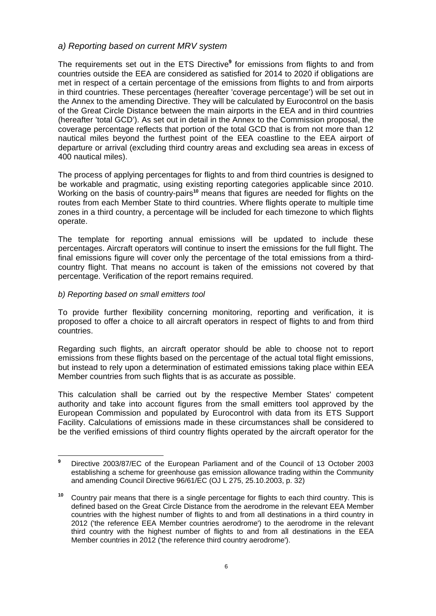#### *a) Reporting based on current MRV system*

The requirements set out in the ETS Directive<sup>9</sup> for emissions from flights to and from countries outside the EEA are considered as satisfied for 2014 to 2020 if obligations are met in respect of a certain percentage of the emissions from flights to and from airports in third countries. These percentages (hereafter 'coverage percentage') will be set out in the Annex to the amending Directive. They will be calculated by Eurocontrol on the basis of the Great Circle Distance between the main airports in the EEA and in third countries (hereafter 'total GCD'). As set out in detail in the Annex to the Commission proposal, the coverage percentage reflects that portion of the total GCD that is from not more than 12 nautical miles beyond the furthest point of the EEA coastline to the EEA airport of departure or arrival (excluding third country areas and excluding sea areas in excess of 400 nautical miles).

The process of applying percentages for flights to and from third countries is designed to be workable and pragmatic, using existing reporting categories applicable since 2010. Working on the basis of country-pairs**<sup>10</sup>** means that figures are needed for flights on the routes from each Member State to third countries. Where flights operate to multiple time zones in a third country, a percentage will be included for each timezone to which flights operate.

The template for reporting annual emissions will be updated to include these percentages. Aircraft operators will continue to insert the emissions for the full flight. The final emissions figure will cover only the percentage of the total emissions from a thirdcountry flight. That means no account is taken of the emissions not covered by that percentage. Verification of the report remains required.

#### *b) Reporting based on small emitters tool*

To provide further flexibility concerning monitoring, reporting and verification, it is proposed to offer a choice to all aircraft operators in respect of flights to and from third countries.

Regarding such flights, an aircraft operator should be able to choose not to report emissions from these flights based on the percentage of the actual total flight emissions, but instead to rely upon a determination of estimated emissions taking place within EEA Member countries from such flights that is as accurate as possible.

This calculation shall be carried out by the respective Member States' competent authority and take into account figures from the small emitters tool approved by the European Commission and populated by Eurocontrol with data from its ETS Support Facility. Calculations of emissions made in these circumstances shall be considered to be the verified emissions of third country flights operated by the aircraft operator for the

 **9** Directive 2003/87/EC of the European Parliament and of the Council of 13 October 2003 establishing a scheme for greenhouse gas emission allowance trading within the Community and amending Council Directive 96/61/EC (OJ L 275, 25.10.2003, p. 32)

**<sup>10</sup>** Country pair means that there is a single percentage for flights to each third country. This is defined based on the Great Circle Distance from the aerodrome in the relevant EEA Member countries with the highest number of flights to and from all destinations in a third country in 2012 ('the reference EEA Member countries aerodrome') to the aerodrome in the relevant third country with the highest number of flights to and from all destinations in the EEA Member countries in 2012 ('the reference third country aerodrome').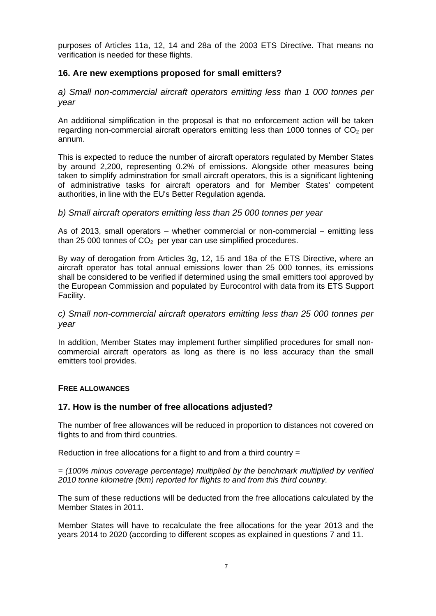purposes of Articles 11a, 12, 14 and 28a of the 2003 ETS Directive. That means no verification is needed for these flights.

## **16. Are new exemptions proposed for small emitters?**

*a) Small non-commercial aircraft operators emitting less than 1 000 tonnes per year* 

An additional simplification in the proposal is that no enforcement action will be taken regarding non-commercial aircraft operators emitting less than 1000 tonnes of  $CO<sub>2</sub>$  per annum.

This is expected to reduce the number of aircraft operators regulated by Member States by around 2,200, representing 0.2% of emissions. Alongside other measures being taken to simplify adminstration for small aircraft operators, this is a significant lightening of administrative tasks for aircraft operators and for Member States' competent authorities, in line with the EU's Better Regulation agenda.

#### *b) Small aircraft operators emitting less than 25 000 tonnes per year*

As of 2013, small operators – whether commercial or non-commercial – emitting less than 25 000 tonnes of  $CO<sub>2</sub>$  per year can use simplified procedures.

By way of derogation from Articles 3g, 12, 15 and 18a of the ETS Directive, where an aircraft operator has total annual emissions lower than 25 000 tonnes, its emissions shall be considered to be verified if determined using the small emitters tool approved by the European Commission and populated by Eurocontrol with data from its ETS Support Facility.

*c) Small non-commercial aircraft operators emitting less than 25 000 tonnes per year* 

In addition, Member States may implement further simplified procedures for small noncommercial aircraft operators as long as there is no less accuracy than the small emitters tool provides.

#### **FREE ALLOWANCES**

### **17. How is the number of free allocations adjusted?**

The number of free allowances will be reduced in proportion to distances not covered on flights to and from third countries.

Reduction in free allocations for a flight to and from a third country =

*= (100% minus coverage percentage) multiplied by the benchmark multiplied by verified 2010 tonne kilometre (tkm) reported for flights to and from this third country.* 

The sum of these reductions will be deducted from the free allocations calculated by the Member States in 2011.

Member States will have to recalculate the free allocations for the year 2013 and the years 2014 to 2020 (according to different scopes as explained in questions 7 and 11.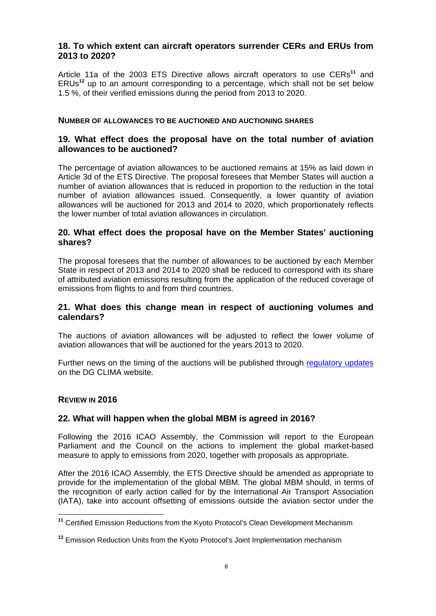## **18. To which extent can aircraft operators surrender CERs and ERUs from 2013 to 2020?**

Article 11a of the 2003 ETS Directive allows aircraft operators to use CERs**<sup>11</sup>** and ERUs**<sup>12</sup>** up to an amount corresponding to a percentage, which shall not be set below 1.5 %, of their verified emissions during the period from 2013 to 2020.

#### **NUMBER OF ALLOWANCES TO BE AUCTIONED AND AUCTIONING SHARES**

### **19. What effect does the proposal have on the total number of aviation allowances to be auctioned?**

The percentage of aviation allowances to be auctioned remains at 15% as laid down in Article 3d of the ETS Directive. The proposal foresees that Member States will auction a number of aviation allowances that is reduced in proportion to the reduction in the total number of aviation allowances issued. Consequently, a lower quantity of aviation allowances will be auctioned for 2013 and 2014 to 2020, which proportionately reflects the lower number of total aviation allowances in circulation.

#### **20. What effect does the proposal have on the Member States' auctioning shares?**

The proposal foresees that the number of allowances to be auctioned by each Member State in respect of 2013 and 2014 to 2020 shall be reduced to correspond with its share of attributed aviation emissions resulting from the application of the reduced coverage of emissions from flights to and from third countries.

#### **21. What does this change mean in respect of auctioning volumes and calendars?**

The auctions of aviation allowances will be adjusted to reflect the lower volume of aviation allowances that will be auctioned for the years 2013 to 2020.

Further news on the timing of the auctions will be published through [regulatory updates](http://ec.europa.eu/clima/news/news_archives_en.htm) on the DG CLIMA website.

#### **REVIEW IN 2016**

 $\overline{a}$ 

#### **22. What will happen when the global MBM is agreed in 2016?**

Following the 2016 ICAO Assembly, the Commission will report to the European Parliament and the Council on the actions to implement the global market-based measure to apply to emissions from 2020, together with proposals as appropriate.

After the 2016 ICAO Assembly, the ETS Directive should be amended as appropriate to provide for the implementation of the global MBM. The global MBM should, in terms of the recognition of early action called for by the International Air Transport Association (IATA), take into account offsetting of emissions outside the aviation sector under the

**<sup>11</sup>** Certified Emission Reductions from the Kyoto Protocol's Clean Development Mechanism

**<sup>12</sup>** Emission Reduction Units from the Kyoto Protocol's Joint Implementation mechanism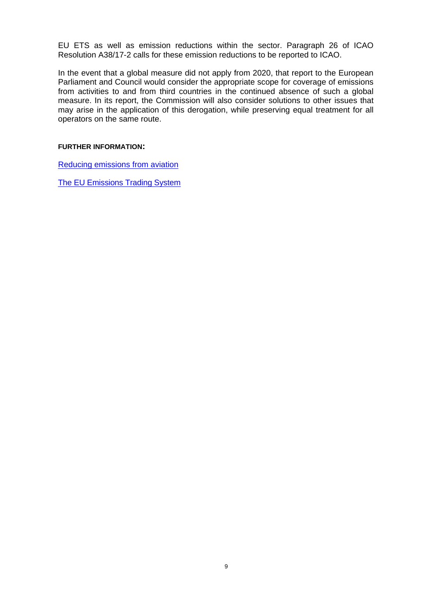EU ETS as well as emission reductions within the sector. Paragraph 26 of ICAO Resolution A38/17-2 calls for these emission reductions to be reported to ICAO.

In the event that a global measure did not apply from 2020, that report to the European Parliament and Council would consider the appropriate scope for coverage of emissions from activities to and from third countries in the continued absence of such a global measure. In its report, the Commission will also consider solutions to other issues that may arise in the application of this derogation, while preserving equal treatment for all operators on the same route.

#### **FURTHER INFORMATION:**

[Reducing emissions from aviation](http://ec.europa.eu/clima/policies/transport/aviation/index_en.htm) 

[The EU Emissions Trading System](http://ec.europa.eu/clima/policies/ets/index_en.htm)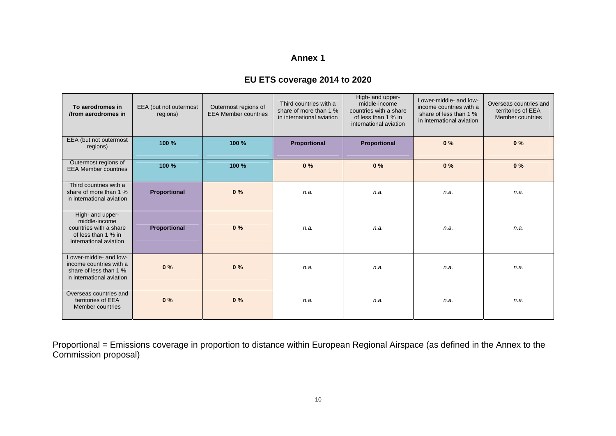# **EU ETS coverage 2014 to 2020**

| To aerodromes in<br>from aerodromes in                                                                       | EEA (but not outermost<br>regions) | Outermost regions of<br><b>EEA Member countries</b> | Third countries with a<br>share of more than 1 %<br>in international aviation | High- and upper-<br>middle-income<br>countries with a share<br>of less than 1 % in<br>international aviation | Lower-middle- and low-<br>income countries with a<br>share of less than 1 %<br>in international aviation | Overseas countries and<br>territories of EEA<br>Member countries |
|--------------------------------------------------------------------------------------------------------------|------------------------------------|-----------------------------------------------------|-------------------------------------------------------------------------------|--------------------------------------------------------------------------------------------------------------|----------------------------------------------------------------------------------------------------------|------------------------------------------------------------------|
| EEA (but not outermost<br>regions)                                                                           | 100 %                              | 100 %                                               | Proportional                                                                  | Proportional                                                                                                 | 0%                                                                                                       | 0%                                                               |
| Outermost regions of<br><b>EEA Member countries</b>                                                          | 100 %                              | 100 %                                               | 0%                                                                            | 0%                                                                                                           | 0%                                                                                                       | 0%                                                               |
| Third countries with a<br>share of more than 1 %<br>in international aviation                                | Proportional                       | 0%                                                  | n.a.                                                                          | n.a.                                                                                                         | n.a.                                                                                                     | n.a.                                                             |
| High- and upper-<br>middle-income<br>countries with a share<br>of less than 1 % in<br>international aviation | Proportional                       | 0%                                                  | n.a.                                                                          | n.a.                                                                                                         | n.a.                                                                                                     | n.a.                                                             |
| Lower-middle- and low-<br>income countries with a<br>share of less than 1 %<br>in international aviation     | 0%                                 | 0%                                                  | n.a.                                                                          | n.a.                                                                                                         | n.a.                                                                                                     | n.a.                                                             |
| Overseas countries and<br>territories of EEA<br>Member countries                                             | 0%                                 | 0%                                                  | n.a.                                                                          | n.a.                                                                                                         | n.a.                                                                                                     | n.a.                                                             |

Proportional = Emissions coverage in proportion to distance within European Regional Airspace (as defined in the Annex to the Commission proposal)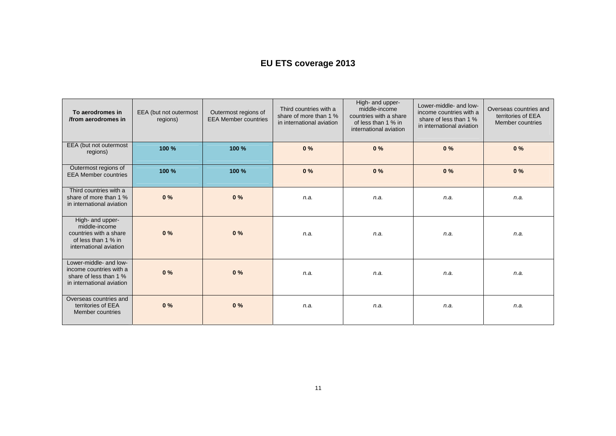# **EU ETS coverage 2013**

| To aerodromes in<br>/from aerodromes in                                                                      | EEA (but not outermost<br>regions) | Outermost regions of<br><b>EEA Member countries</b> | Third countries with a<br>share of more than 1 %<br>in international aviation | High- and upper-<br>middle-income<br>countries with a share<br>of less than 1 % in<br>international aviation | Lower-middle- and low-<br>income countries with a<br>share of less than 1 %<br>in international aviation | Overseas countries and<br>territories of EEA<br>Member countries |
|--------------------------------------------------------------------------------------------------------------|------------------------------------|-----------------------------------------------------|-------------------------------------------------------------------------------|--------------------------------------------------------------------------------------------------------------|----------------------------------------------------------------------------------------------------------|------------------------------------------------------------------|
| EEA (but not outermost<br>regions)                                                                           | 100 %                              | 100 %                                               | 0%                                                                            | 0%                                                                                                           | 0%                                                                                                       | 0%                                                               |
| Outermost regions of<br><b>EEA Member countries</b>                                                          | 100 %                              | 100 %                                               | 0%                                                                            | 0%                                                                                                           | 0%                                                                                                       | 0%                                                               |
| Third countries with a<br>share of more than 1 %<br>in international aviation                                | 0%                                 | 0%                                                  | n.a.                                                                          | n.a.                                                                                                         | n.a.                                                                                                     | n.a.                                                             |
| High- and upper-<br>middle-income<br>countries with a share<br>of less than 1 % in<br>international aviation | 0%                                 | 0%                                                  | n.a.                                                                          | n.a.                                                                                                         | n.a.                                                                                                     | n.a.                                                             |
| Lower-middle- and low-<br>income countries with a<br>share of less than 1 %<br>in international aviation     | 0%                                 | 0%                                                  | n.a.                                                                          | n.a.                                                                                                         | n.a.                                                                                                     | n.a.                                                             |
| Overseas countries and<br>territories of EEA<br>Member countries                                             | 0%                                 | 0%                                                  | n.a.                                                                          | n.a.                                                                                                         | n.a.                                                                                                     | n.a.                                                             |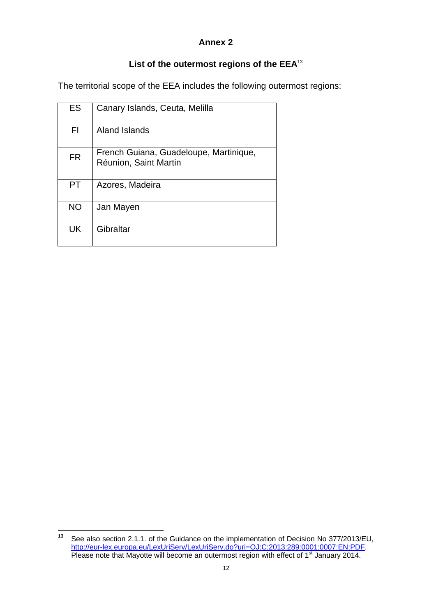# **List of the outermost regions of the EEA**<sup>13</sup>

The territorial scope of the EEA includes the following outermost regions:

| <b>ES</b> | Canary Islands, Ceuta, Melilla                                  |
|-----------|-----------------------------------------------------------------|
| FI        | Aland Islands                                                   |
| <b>FR</b> | French Guiana, Guadeloupe, Martinique,<br>Réunion, Saint Martin |
| PT.       | Azores, Madeira                                                 |
| <b>NO</b> | Jan Mayen                                                       |
| UK        | Gibraltar                                                       |

 $13$ **<sup>13</sup>** See also section 2.1.1. of the Guidance on the implementation of Decision No 377/2013/EU, [http://eur-lex.europa.eu/LexUriServ/LexUriServ.do?uri=OJ:C:2013:289:](http://eur-lex.europa.eu/LexUriServ/LexUriServ.do?uri=OJ:C:2013:289:0001:0007:EN:PDF)0001:0007:EN:PDF. Please note that Mayotte will become an outermost region with effect of 1<sup>st</sup> January 2014.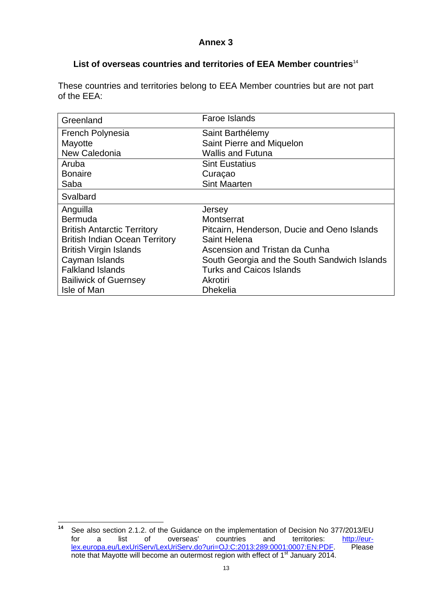## **List of overseas countries and territories of EEA Member countries**<sup>14</sup>

These countries and territories belong to EEA Member countries but are not part of the EEA:

| Greenland                             | <b>Faroe Islands</b>                         |
|---------------------------------------|----------------------------------------------|
| <b>French Polynesia</b>               | Saint Barthélemy                             |
| Mayotte                               | Saint Pierre and Miquelon                    |
| New Caledonia                         | <b>Wallis and Futuna</b>                     |
| Aruba                                 | <b>Sint Eustatius</b>                        |
| <b>Bonaire</b>                        | Curaçao                                      |
| Saba                                  | <b>Sint Maarten</b>                          |
| Svalbard                              |                                              |
| Anguilla                              | Jersey                                       |
| Bermuda                               | Montserrat                                   |
| <b>British Antarctic Territory</b>    | Pitcairn, Henderson, Ducie and Oeno Islands  |
| <b>British Indian Ocean Territory</b> | Saint Helena                                 |
| <b>British Virgin Islands</b>         | Ascension and Tristan da Cunha               |
| Cayman Islands                        | South Georgia and the South Sandwich Islands |
| <b>Falkland Islands</b>               | <b>Turks and Caicos Islands</b>              |
| <b>Bailiwick of Guernsey</b>          | Akrotiri                                     |
| Isle of Man                           | <b>Dhekelia</b>                              |

 $\overline{a}$ **<sup>14</sup>** See also section 2.1.2. of the Guidance on the implementation of Decision No 377/2013/EU for a list of overseas' countries and territories: [http://eur](http://eur-lex.europa.eu/LexUriServ/LexUriServ.do?uri=OJ:C:2013:289:0001:0007:EN:PDF)[lex.europa.eu/LexUriServ/LexUriServ.do?uri=OJ:C:2013:289:0001:0007:EN:PDF.](http://eur-lex.europa.eu/LexUriServ/LexUriServ.do?uri=OJ:C:2013:289:0001:0007:EN:PDF) Please note that Mayotte will become an outermost region with effect of 1<sup>st</sup> January 2014.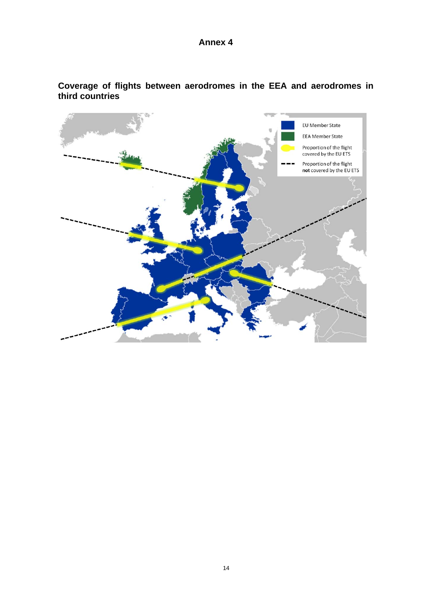

**Coverage of flights between aerodromes in the EEA and aerodromes in third countries**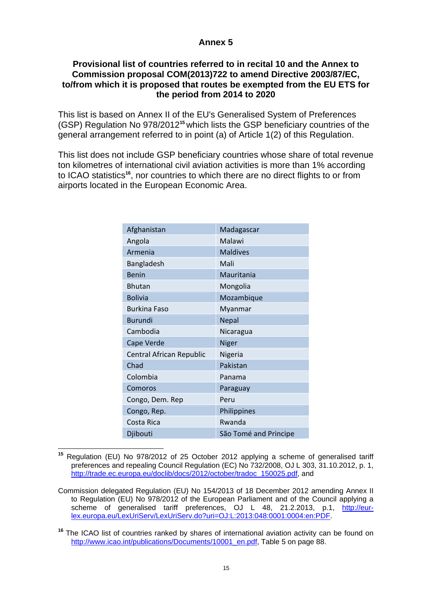## **Provisional list of countries referred to in recital 10 and the Annex to Commission proposal COM(2013)722 to amend Directive 2003/87/EC, to/from which it is proposed that routes be exempted from the EU ETS for the period from 2014 to 2020**

This list is based on Annex II of the EU's Generalised System of Preferences (GSP) Regulation No 978/2012**<sup>15</sup>** which lists the GSP beneficiary countries of the general arrangement referred to in point (a) of Article 1(2) of this Regulation.

This list does not include GSP beneficiary countries whose share of total revenue ton kilometres of international civil aviation activities is more than 1% according to ICAO statistics**<sup>16</sup>**, nor countries to which there are no direct flights to or from airports located in the European Economic Area.

| Afghanistan              | Madagascar            |
|--------------------------|-----------------------|
| Angola                   | Malawi                |
| Armenia                  | <b>Maldives</b>       |
| Bangladesh               | Mali                  |
| <b>Benin</b>             | Mauritania            |
| <b>Bhutan</b>            | Mongolia              |
| <b>Bolivia</b>           | Mozambique            |
| <b>Burkina Faso</b>      | Myanmar               |
| <b>Burundi</b>           | <b>Nepal</b>          |
| Cambodia                 | Nicaragua             |
| Cape Verde               | <b>Niger</b>          |
| Central African Republic | Nigeria               |
| Chad                     | Pakistan              |
| Colombia                 | Panama                |
| Comoros                  | Paraguay              |
| Congo, Dem. Rep          | Peru                  |
| Congo, Rep.              | Philippines           |
| Costa Rica               | Rwanda                |
| Djibouti                 | São Tomé and Principe |

 $\overline{a}$ **<sup>15</sup>** Regulation (EU) No 978/2012 of 25 October 2012 applying a scheme of generalised tariff preferences and repealing Council Regulation (EC) No 732/2008, OJ L 303, 31.10.2012, p. 1, [http://trade.ec.europa.eu/doclib/do](http://trade.ec.europa.eu/doclib/docs/2012/october/tradoc_150025.pdf)cs/2012/october/tradoc\_150025.pdf, and

Commission delegated Regulation (EU) No 154/2013 of 18 December 2012 amending Annex II to Regulation (EU) No 978/2012 of the European Parliament and of the Council applying a scheme of generalised tariff preferences, OJ L 48, 21.2.2013, p.1, [http://eur](http://eur-lex.europa.eu/LexUriServ/LexUriServ.do?uri=OJ:L:2013:048:0001:0004:en:PDF)[lex.europa.eu/LexUriServ/LexUriServ.do?uri=OJ:L:2013:048:0001:0004:en:PDF.](http://eur-lex.europa.eu/LexUriServ/LexUriServ.do?uri=OJ:L:2013:048:0001:0004:en:PDF) 

**<sup>16</sup>** The ICAO list of countries ranked by shares of international aviation activity can be found on [http://www.icao.int/publications/Documents/10001\\_en.pdf, Table 5 on page 88.](http://www.icao.int/publications/Documents/10001_en.pdf)